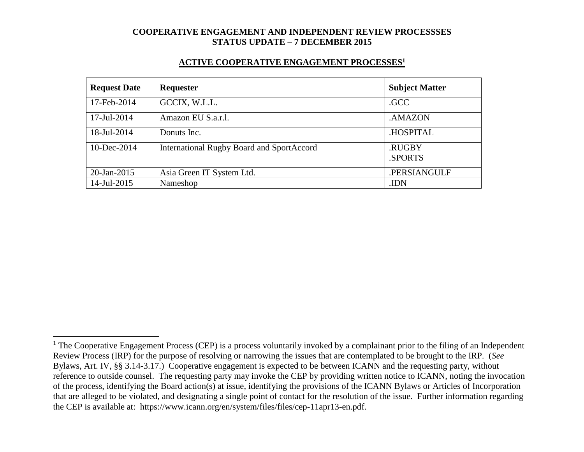#### **ACTIVE COOPERATIVE ENGAGEMENT PROCESSES<sup>1</sup>**

| <b>Request Date</b> | Requester                                        | <b>Subject Matter</b> |
|---------------------|--------------------------------------------------|-----------------------|
| 17-Feb-2014         | GCCIX, W.L.L.                                    | .GCC                  |
| 17-Jul-2014         | Amazon EU S.a.r.l.                               | .AMAZON               |
| 18-Jul-2014         | Donuts Inc.                                      | <b>HOSPITAL</b>       |
| $10$ -Dec-2014      | <b>International Rugby Board and SportAccord</b> | .RUGBY<br>.SPORTS     |
| 20-Jan-2015         | Asia Green IT System Ltd.                        | .PERSIANGULF          |
| 14-Jul-2015         | Nameshop                                         | .IDN                  |

 $\overline{a}$ 

 $1$  The Cooperative Engagement Process (CEP) is a process voluntarily invoked by a complainant prior to the filing of an Independent Review Process (IRP) for the purpose of resolving or narrowing the issues that are contemplated to be brought to the IRP. (*See* Bylaws, Art. IV, §§ 3.14-3.17.) Cooperative engagement is expected to be between ICANN and the requesting party, without reference to outside counsel. The requesting party may invoke the CEP by providing written notice to ICANN, noting the invocation of the process, identifying the Board action(s) at issue, identifying the provisions of the ICANN Bylaws or Articles of Incorporation that are alleged to be violated, and designating a single point of contact for the resolution of the issue. Further information regarding the CEP is available at: https://www.icann.org/en/system/files/files/cep-11apr13-en.pdf.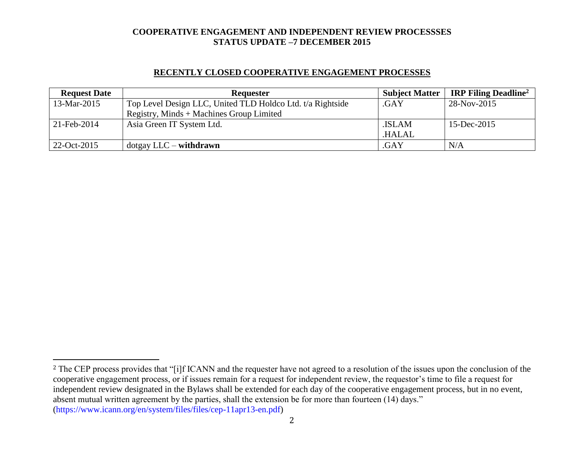#### **RECENTLY CLOSED COOPERATIVE ENGAGEMENT PROCESSES**

| <b>Request Date</b> | <b>Requester</b>                                           | <b>Subject Matter</b> | <b>IRP Filing Deadline</b> <sup>2</sup> |
|---------------------|------------------------------------------------------------|-----------------------|-----------------------------------------|
| 13-Mar-2015         | Top Level Design LLC, United TLD Holdco Ltd. t/a Rightside | .GAY                  | 28-Nov-2015                             |
|                     | Registry, Minds $+$ Machines Group Limited                 |                       |                                         |
| $21$ -Feb-2014      | Asia Green IT System Ltd.                                  | .ISLAM                | 15-Dec-2015                             |
|                     |                                                            | .HALAL                |                                         |
| 22-Oct-2015         | $dot$ gay LLC – withdrawn                                  | .GAY                  | N/A                                     |

l

<sup>&</sup>lt;sup>2</sup> The CEP process provides that "[i]f ICANN and the requester have not agreed to a resolution of the issues upon the conclusion of the cooperative engagement process, or if issues remain for a request for independent review, the requestor's time to file a request for independent review designated in the Bylaws shall be extended for each day of the cooperative engagement process, but in no event, absent mutual written agreement by the parties, shall the extension be for more than fourteen (14) days." (https://www.icann.org/en/system/files/files/cep-11apr13-en.pdf)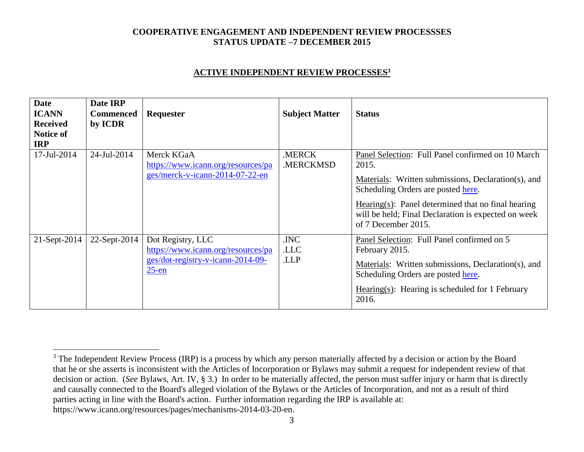### **ACTIVE INDEPENDENT REVIEW PROCESSES<sup>3</sup>**

| <b>Date</b><br><b>ICANN</b><br><b>Received</b><br>Notice of<br><b>IRP</b> | Date IRP<br><b>Commenced</b><br>by ICDR | Requester                                                                                                | <b>Subject Matter</b> | <b>Status</b>                                                                                                                                                                                                                                                                                   |
|---------------------------------------------------------------------------|-----------------------------------------|----------------------------------------------------------------------------------------------------------|-----------------------|-------------------------------------------------------------------------------------------------------------------------------------------------------------------------------------------------------------------------------------------------------------------------------------------------|
| 17-Jul-2014                                                               | 24-Jul-2014                             | Merck KGaA<br>https://www.icann.org/resources/pa<br>ges/merck-v-icann-2014-07-22-en                      | .MERCK<br>.MERCKMSD   | Panel Selection: Full Panel confirmed on 10 March<br>2015.<br>Materials: Written submissions, Declaration(s), and<br>Scheduling Orders are posted here.<br>Hearing $(s)$ : Panel determined that no final hearing<br>will be held; Final Declaration is expected on week<br>of 7 December 2015. |
| $21$ -Sept-2014                                                           | 22-Sept-2014                            | Dot Registry, LLC<br>https://www.icann.org/resources/pa<br>ges/dot-registry-v-icann-2014-09-<br>$25$ -en | .INC<br>.LLC<br>.LLP  | Panel Selection: Full Panel confirmed on 5<br>February 2015.<br>Materials: Written submissions, Declaration(s), and<br>Scheduling Orders are posted here.<br>Hearing(s): Hearing is scheduled for 1 February<br>2016.                                                                           |

 $\overline{a}$ 

<sup>&</sup>lt;sup>3</sup> The Independent Review Process (IRP) is a process by which any person materially affected by a decision or action by the Board that he or she asserts is inconsistent with the Articles of Incorporation or Bylaws may submit a request for independent review of that decision or action. (*See* Bylaws, Art. IV, § 3.) In order to be materially affected, the person must suffer injury or harm that is directly and causally connected to the Board's alleged violation of the Bylaws or the Articles of Incorporation, and not as a result of third parties acting in line with the Board's action. Further information regarding the IRP is available at: https://www.icann.org/resources/pages/mechanisms-2014-03-20-en.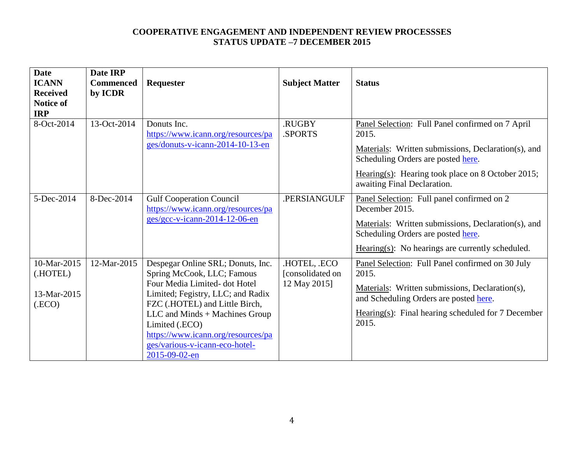| <b>Date</b><br><b>ICANN</b><br><b>Received</b><br><b>Notice of</b><br><b>IRP</b> | Date IRP<br><b>Commenced</b><br>by ICDR | Requester                                                                                                                                                                                                                                                                                                           | <b>Subject Matter</b>                            | <b>Status</b>                                                                                                                                                                                                                              |
|----------------------------------------------------------------------------------|-----------------------------------------|---------------------------------------------------------------------------------------------------------------------------------------------------------------------------------------------------------------------------------------------------------------------------------------------------------------------|--------------------------------------------------|--------------------------------------------------------------------------------------------------------------------------------------------------------------------------------------------------------------------------------------------|
| 8-Oct-2014                                                                       | 13-Oct-2014                             | Donuts Inc.<br>https://www.icann.org/resources/pa<br>ges/donuts-v-icann-2014-10-13-en                                                                                                                                                                                                                               | .RUGBY<br>.SPORTS                                | Panel Selection: Full Panel confirmed on 7 April<br>2015.<br>Materials: Written submissions, Declaration(s), and<br>Scheduling Orders are posted here.<br>Hearing(s): Hearing took place on 8 October 2015;<br>awaiting Final Declaration. |
| 5-Dec-2014                                                                       | 8-Dec-2014                              | <b>Gulf Cooperation Council</b><br>https://www.icann.org/resources/pa<br>ges/gcc-v-icann-2014-12-06-en                                                                                                                                                                                                              | .PERSIANGULF                                     | Panel Selection: Full panel confirmed on 2<br>December 2015.<br>Materials: Written submissions, Declaration(s), and<br>Scheduling Orders are posted here.<br>$Hearing(s)$ : No hearings are currently scheduled.                           |
| 10-Mar-2015<br>(.HOTEL)<br>13-Mar-2015<br>(ECO)                                  | 12-Mar-2015                             | Despegar Online SRL; Donuts, Inc.<br>Spring McCook, LLC; Famous<br>Four Media Limited-dot Hotel<br>Limited; Fegistry, LLC; and Radix<br>FZC (.HOTEL) and Little Birch,<br>LLC and Minds + Machines Group<br>Limited (.ECO)<br>https://www.icann.org/resources/pa<br>ges/various-v-icann-eco-hotel-<br>2015-09-02-en | .HOTEL, .ECO<br>[consolidated on<br>12 May 2015] | Panel Selection: Full Panel confirmed on 30 July<br>2015.<br>Materials: Written submissions, Declaration(s),<br>and Scheduling Orders are posted here.<br>Hearing(s): Final hearing scheduled for $7$ December<br>2015.                    |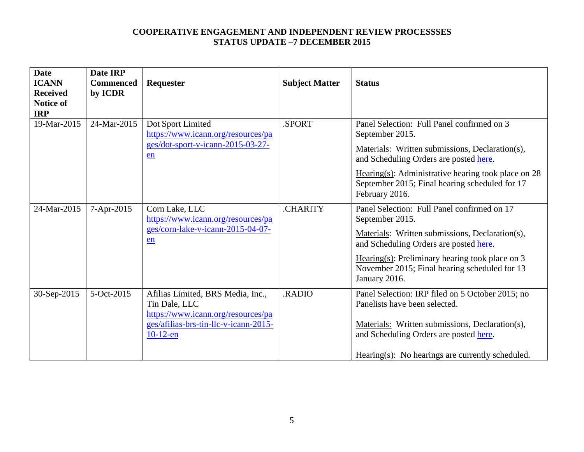| <b>Date</b><br><b>ICANN</b><br><b>Received</b><br><b>Notice of</b><br><b>IRP</b> | Date IRP<br><b>Commenced</b><br>by ICDR | Requester                                                                                                                                        | <b>Subject Matter</b> | <b>Status</b>                                                                                                                                                                                                                                                                           |
|----------------------------------------------------------------------------------|-----------------------------------------|--------------------------------------------------------------------------------------------------------------------------------------------------|-----------------------|-----------------------------------------------------------------------------------------------------------------------------------------------------------------------------------------------------------------------------------------------------------------------------------------|
| 19-Mar-2015                                                                      | 24-Mar-2015                             | Dot Sport Limited<br>https://www.icann.org/resources/pa<br>ges/dot-sport-v-icann-2015-03-27-<br>en                                               | .SPORT                | Panel Selection: Full Panel confirmed on 3<br>September 2015.<br>Materials: Written submissions, Declaration(s),<br>and Scheduling Orders are posted here.<br>Hearing(s): Administrative hearing took place on $28$<br>September 2015; Final hearing scheduled for 17<br>February 2016. |
| 24-Mar-2015                                                                      | 7-Apr-2015                              | Corn Lake, LLC<br>https://www.icann.org/resources/pa<br>ges/corn-lake-v-icann-2015-04-07-<br>en                                                  | <b>CHARITY</b>        | Panel Selection: Full Panel confirmed on 17<br>September 2015.<br>Materials: Written submissions, Declaration(s),<br>and Scheduling Orders are posted here.<br>Hearing(s): Preliminary hearing took place on $3$<br>November 2015; Final hearing scheduled for 13<br>January 2016.      |
| 30-Sep-2015                                                                      | 5-Oct-2015                              | Afilias Limited, BRS Media, Inc.,<br>Tin Dale, LLC<br>https://www.icann.org/resources/pa<br>ges/afilias-brs-tin-llc-v-icann-2015-<br>$10-12$ -en | .RADIO                | Panel Selection: IRP filed on 5 October 2015; no<br>Panelists have been selected.<br>Materials: Written submissions, Declaration(s),<br>and Scheduling Orders are posted here.<br>Hearing(s): No hearings are currently scheduled.                                                      |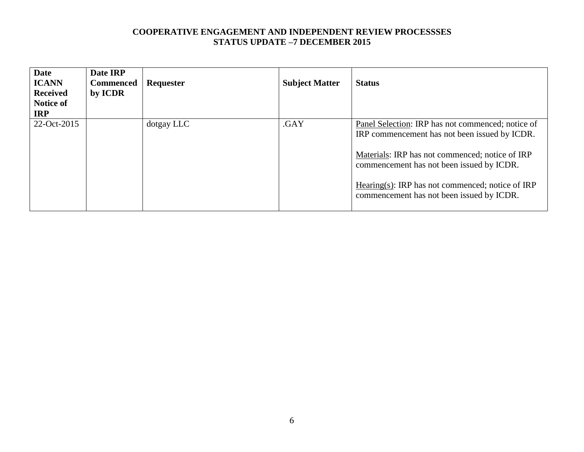| <b>Date</b><br><b>ICANN</b><br><b>Received</b><br>Notice of<br><b>IRP</b> | Date IRP<br><b>Commenced</b><br>by ICDR | Requester  | <b>Subject Matter</b> | <b>Status</b>                                                                                                                                                                                      |
|---------------------------------------------------------------------------|-----------------------------------------|------------|-----------------------|----------------------------------------------------------------------------------------------------------------------------------------------------------------------------------------------------|
| 22-Oct-2015                                                               |                                         | dotgay LLC | .GAY                  | Panel Selection: IRP has not commenced; notice of<br>IRP commencement has not been issued by ICDR.<br>Materials: IRP has not commenced; notice of IRP<br>commencement has not been issued by ICDR. |
|                                                                           |                                         |            |                       | Hearing(s): IRP has not commenced; notice of IRP<br>commencement has not been issued by ICDR.                                                                                                      |